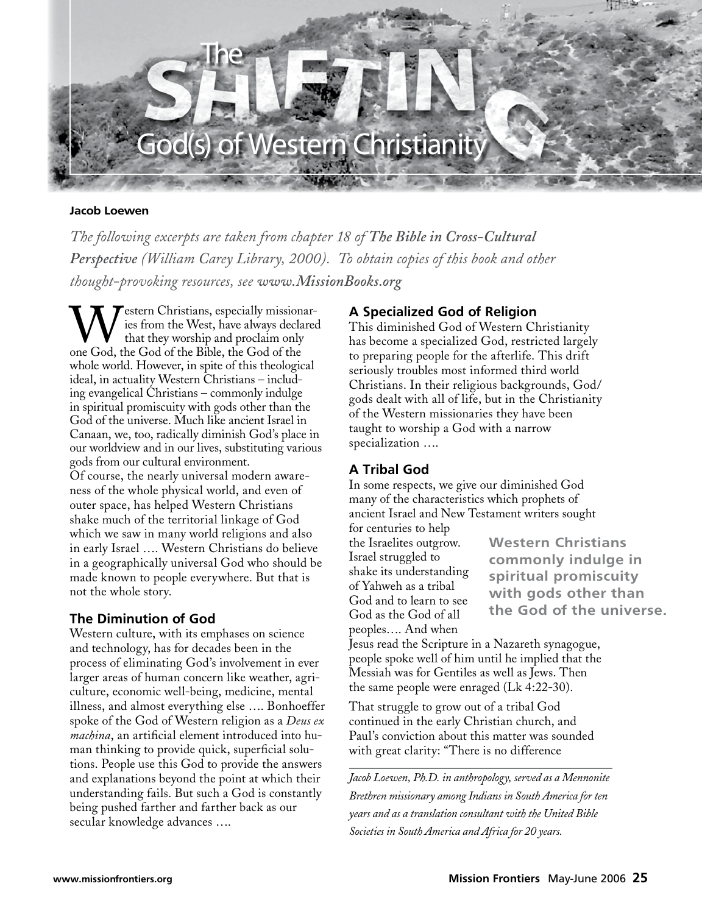

#### **Jacob Loewen**

*The following excerpts are taken from chapter 18 of The Bible in Cross-Cultural Perspective (William Carey Library, 2000). To obtain copies of this book and other thought-provoking resources, see www.MissionBooks.org*

**Testern Christians, especially missionar**ies from the West, have always declared that they worship and proclaim only one God, the God of the Bible, the God of the whole world. However, in spite of this theological ideal, in actuality Western Christians – including evangelical Christians – commonly indulge in spiritual promiscuity with gods other than the God of the universe. Much like ancient Israel in Canaan, we, too, radically diminish God's place in our worldview and in our lives, substituting various gods from our cultural environment. Of course, the nearly universal modern awareness of the whole physical world, and even of outer space, has helped Western Christians shake much of the territorial linkage of God which we saw in many world religions and also in early Israel …. Western Christians do believe in a geographically universal God who should be made known to people everywhere. But that is not the whole story.

#### **The Diminution of God**

Western culture, with its emphases on science and technology, has for decades been in the process of eliminating God's involvement in ever larger areas of human concern like weather, agriculture, economic well-being, medicine, mental illness, and almost everything else …. Bonhoeffer spoke of the God of Western religion as a *Deus ex machina*, an artificial element introduced into human thinking to provide quick, superficial solutions. People use this God to provide the answers and explanations beyond the point at which their understanding fails. But such a God is constantly being pushed farther and farther back as our secular knowledge advances ….

## **A Specialized God of Religion**

This diminished God of Western Christianity has become a specialized God, restricted largely to preparing people for the afterlife. This drift seriously troubles most informed third world Christians. In their religious backgrounds, God/ gods dealt with all of life, but in the Christianity of the Western missionaries they have been taught to worship a God with a narrow specialization ….

# **A Tribal God**

In some respects, we give our diminished God many of the characteristics which prophets of ancient Israel and New Testament writers sought for centuries to help

the Israelites outgrow. Israel struggled to shake its understanding of Yahweh as a tribal God and to learn to see God as the God of all peoples…. And when

**Western Christians commonly indulge in spiritual promiscuity with gods other than the God of the universe.**

Jesus read the Scripture in a Nazareth synagogue, people spoke well of him until he implied that the Messiah was for Gentiles as well as Jews. Then the same people were enraged (Lk 4:22-30).

That struggle to grow out of a tribal God continued in the early Christian church, and Paul's conviction about this matter was sounded with great clarity: "There is no difference

*Jacob Loewen, Ph.D. in anthropology, served as a Mennonite Brethren missionary among Indians in South America for ten years and as a translation consultant with the United Bible Societies in South America and Africa for 20 years.*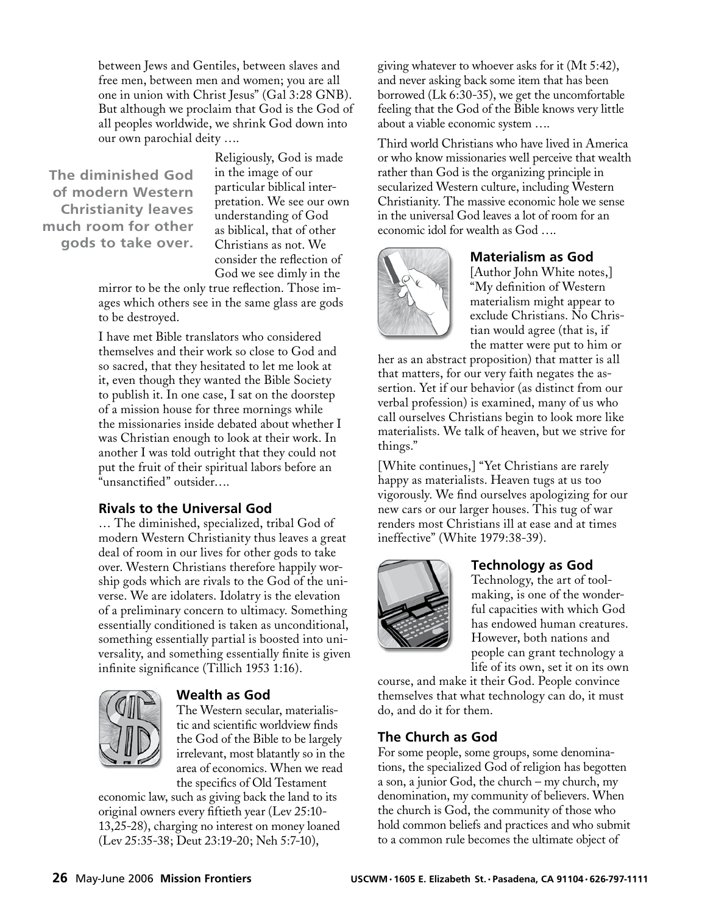between Jews and Gentiles, between slaves and free men, between men and women; you are all one in union with Christ Jesus" (Gal 3:28 GNB). But although we proclaim that God is the God of all peoples worldwide, we shrink God down into our own parochial deity ….

**The diminished God of modern Western Christianity leaves much room for other gods to take over.**

Religiously, God is made in the image of our particular biblical interpretation. We see our own understanding of God as biblical, that of other Christians as not. We consider the reflection of God we see dimly in the

mirror to be the only true reflection. Those images which others see in the same glass are gods to be destroyed.

I have met Bible translators who considered themselves and their work so close to God and so sacred, that they hesitated to let me look at it, even though they wanted the Bible Society to publish it. In one case, I sat on the doorstep of a mission house for three mornings while the missionaries inside debated about whether I was Christian enough to look at their work. In another I was told outright that they could not put the fruit of their spiritual labors before an "unsanctified" outsider….

# **Rivals to the Universal God**

… The diminished, specialized, tribal God of modern Western Christianity thus leaves a great deal of room in our lives for other gods to take over. Western Christians therefore happily worship gods which are rivals to the God of the universe. We are idolaters. Idolatry is the elevation of a preliminary concern to ultimacy. Something essentially conditioned is taken as unconditional, something essentially partial is boosted into universality, and something essentially finite is given infinite significance (Tillich 1953 1:16).



# **Wealth as God**

The Western secular, materialistic and scientific worldview finds the God of the Bible to be largely irrelevant, most blatantly so in the area of economics. When we read the specifics of Old Testament

economic law, such as giving back the land to its original owners every fiftieth year (Lev 25:10- 13,25-28), charging no interest on money loaned (Lev 25:35-38; Deut 23:19-20; Neh 5:7-10),

giving whatever to whoever asks for it (Mt 5:42), and never asking back some item that has been borrowed (Lk 6:30-35), we get the uncomfortable feeling that the God of the Bible knows very little about a viable economic system ….

Third world Christians who have lived in America or who know missionaries well perceive that wealth rather than God is the organizing principle in secularized Western culture, including Western Christianity. The massive economic hole we sense in the universal God leaves a lot of room for an economic idol for wealth as God ….



## **Materialism as God**

[Author John White notes,] "My definition of Western materialism might appear to exclude Christians. No Christian would agree (that is, if the matter were put to him or

her as an abstract proposition) that matter is all that matters, for our very faith negates the assertion. Yet if our behavior (as distinct from our verbal profession) is examined, many of us who call ourselves Christians begin to look more like materialists. We talk of heaven, but we strive for things."

[White continues,] "Yet Christians are rarely happy as materialists. Heaven tugs at us too vigorously. We find ourselves apologizing for our new cars or our larger houses. This tug of war renders most Christians ill at ease and at times ineffective" (White 1979:38-39).



# **Technology as God**

Technology, the art of toolmaking, is one of the wonderful capacities with which God has endowed human creatures. However, both nations and people can grant technology a life of its own, set it on its own

course, and make it their God. People convince themselves that what technology can do, it must do, and do it for them.

# **The Church as God**

For some people, some groups, some denominations, the specialized God of religion has begotten a son, a junior God, the church – my church, my denomination, my community of believers. When the church is God, the community of those who hold common beliefs and practices and who submit to a common rule becomes the ultimate object of